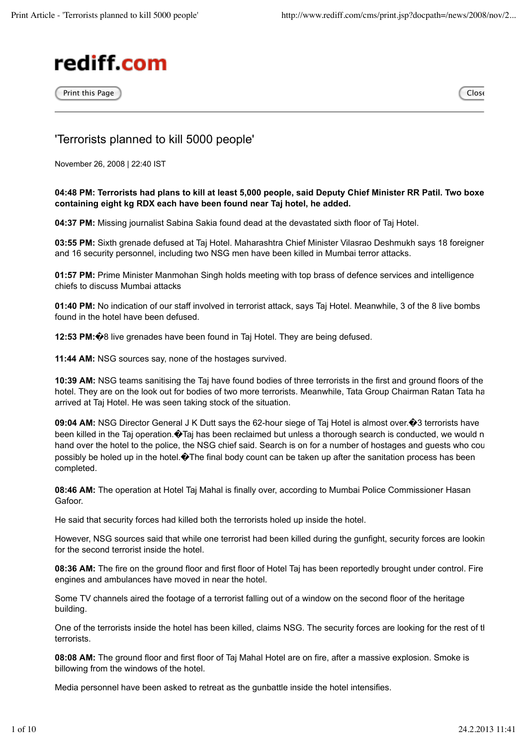

 $\Box$ Print this Page  $\Box$ 

## 'Terrorists planned to kill 5000 people'

November 26, 2008 | 22:40 IST

## **04:48 PM: Terrorists had plans to kill at least 5,000 people, said Deputy Chief Minister RR Patil. Two boxes containing eight kg RDX each have been found near Taj hotel, he added.**

**04:37 PM:** Missing journalist Sabina Sakia found dead at the devastated sixth floor of Taj Hotel.

**03:55 PM:** Sixth grenade defused at Taj Hotel. Maharashtra Chief Minister Vilasrao Deshmukh says 18 foreigner and 16 security personnel, including two NSG men have been killed in Mumbai terror attacks.

**01:57 PM:** Prime Minister Manmohan Singh holds meeting with top brass of defence services and intelligence chiefs to discuss Mumbai attacks

**01:40 PM:** No indication of our staff involved in terrorist attack, says Taj Hotel. Meanwhile, 3 of the 8 live bombs found in the hotel have been defused.

**12:53 PM:�**8 live grenades have been found in Taj Hotel. They are being defused.

**11:44 AM:** NSG sources say, none of the hostages survived.

**10:39 AM:** NSG teams sanitising the Taj have found bodies of three terrorists in the first and ground floors of the hotel. They are on the look out for bodies of two more terrorists. Meanwhile, Tata Group Chairman Ratan Tata ha arrived at Taj Hotel. He was seen taking stock of the situation.

**09:04 AM:** NSG Director General J K Dutt says the 62-hour siege of Taj Hotel is almost over. $\hat{\mathbf{\Theta}}$ 3 terrorists have been killed in the Taj operation.  $\bullet$  Taj has been reclaimed but unless a thorough search is conducted, we would n hand over the hotel to the police, the NSG chief said. Search is on for a number of hostages and guests who cou possibly be holed up in the hotel.�The final body count can be taken up after the sanitation process has been completed.

**08:46 AM:** The operation at Hotel Taj Mahal is finally over, according to Mumbai Police Commissioner Hasan Gafoor.

He said that security forces had killed both the terrorists holed up inside the hotel.

However, NSG sources said that while one terrorist had been killed during the gunfight, security forces are looking for the second terrorist inside the hotel.

**08:36 AM:** The fire on the ground floor and first floor of Hotel Taj has been reportedly brought under control. Fire engines and ambulances have moved in near the hotel.

Some TV channels aired the footage of a terrorist falling out of a window on the second floor of the heritage building.

One of the terrorists inside the hotel has been killed, claims NSG. The security forces are looking for the rest of tl terrorists.

**08:08 AM:** The ground floor and first floor of Taj Mahal Hotel are on fire, after a massive explosion. Smoke is billowing from the windows of the hotel.

Media personnel have been asked to retreat as the gunbattle inside the hotel intensifies.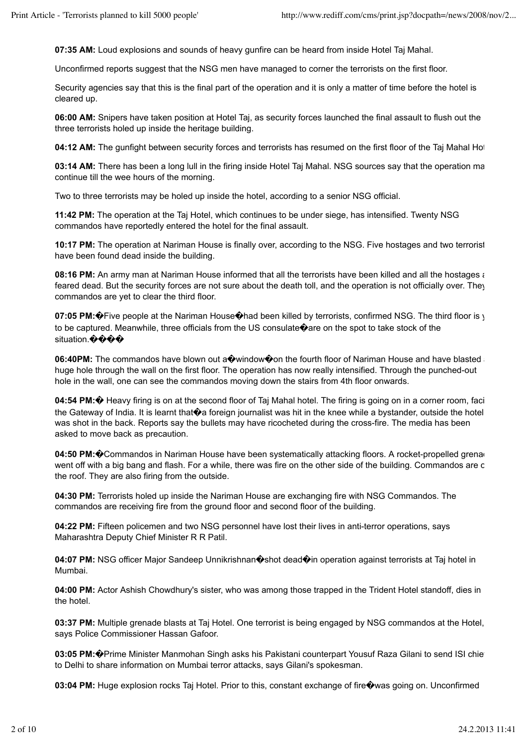**07:35 AM:** Loud explosions and sounds of heavy gunfire can be heard from inside Hotel Taj Mahal.

Unconfirmed reports suggest that the NSG men have managed to corner the terrorists on the first floor.

Security agencies say that this is the final part of the operation and it is only a matter of time before the hotel is cleared up.

**06:00 AM:** Snipers have taken position at Hotel Taj, as security forces launched the final assault to flush out the three terrorists holed up inside the heritage building.

04:12 AM: The gunfight between security forces and terrorists has resumed on the first floor of the Taj Mahal Hot

**03:14 AM:** There has been a long lull in the firing inside Hotel Taj Mahal. NSG sources say that the operation ma continue till the wee hours of the morning.

Two to three terrorists may be holed up inside the hotel, according to a senior NSG official.

**11:42 PM:** The operation at the Taj Hotel, which continues to be under siege, has intensified. Twenty NSG commandos have reportedly entered the hotel for the final assault.

**10:17 PM:** The operation at Nariman House is finally over, according to the NSG. Five hostages and two terrorist have been found dead inside the building.

**08:16 PM:** An army man at Nariman House informed that all the terrorists have been killed and all the hostages are feared dead. But the security forces are not sure about the death toll, and the operation is not officially over. They commandos are yet to clear the third floor.

**07:05 PM:** $\hat{\mathbf{\Phi}}$ Five people at the Nariman House $\hat{\mathbf{\Phi}}$ had been killed by terrorists, confirmed NSG. The third floor is y to be captured. Meanwhile, three officials from the US consulate  $\hat{\mathbf{\bullet}}$  are on the spot to take stock of the situation.����

**06:40PM:** The commandos have blown out a window on the fourth floor of Nariman House and have blasted huge hole through the wall on the first floor. The operation has now really intensified. Through the punched-out hole in the wall, one can see the commandos moving down the stairs from 4th floor onwards.

**04:54 PM:** $\circledast$  Heavy firing is on at the second floor of Taj Mahal hotel. The firing is going on in a corner room, faci the Gateway of India. It is learnt that $\hat{\mathbf{\Theta}}$ a foreign journalist was hit in the knee while a bystander, outside the hotel was shot in the back. Reports say the bullets may have ricocheted during the cross-fire. The media has been asked to move back as precaution.

**04:50 PM:**  $\odot$  Commandos in Nariman House have been systematically attacking floors. A rocket-propelled grena went off with a big bang and flash. For a while, there was fire on the other side of the building. Commandos are c the roof. They are also firing from the outside.

**04:30 PM:** Terrorists holed up inside the Nariman House are exchanging fire with NSG Commandos. The commandos are receiving fire from the ground floor and second floor of the building.

**04:22 PM:** Fifteen policemen and two NSG personnel have lost their lives in anti-terror operations, says Maharashtra Deputy Chief Minister R R Patil.

04:07 PM: NSG officer Major Sandeep Unnikrishnan $\hat{\mathbf{\circ}}$ shot dead $\hat{\mathbf{\circ}}$ in operation against terrorists at Taj hotel in Mumbai.

**04:00 PM:** Actor Ashish Chowdhury's sister, who was among those trapped in the Trident Hotel standoff, dies in the hotel.

**03:37 PM:** Multiple grenade blasts at Taj Hotel. One terrorist is being engaged by NSG commandos at the Hotel, says Police Commissioner Hassan Gafoor.

**03:05 PM:**�Prime Minister Manmohan Singh asks his Pakistani counterpart Yousuf Raza Gilani to send ISI chief to Delhi to share information on Mumbai terror attacks, says Gilani's spokesman.

**03:04 PM:** Huge explosion rocks Taj Hotel. Prior to this, constant exchange of fire�was going on. Unconfirmed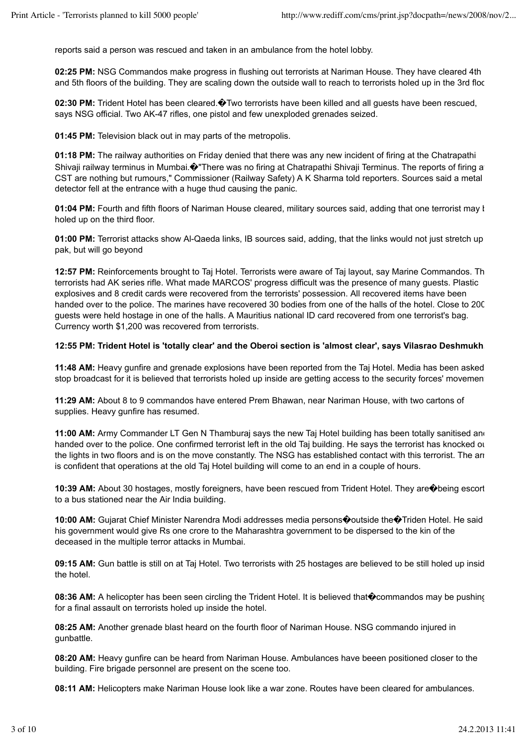reports said a person was rescued and taken in an ambulance from the hotel lobby.

**02:25 PM:** NSG Commandos make progress in flushing out terrorists at Nariman House. They have cleared 4th and 5th floors of the building. They are scaling down the outside wall to reach to terrorists holed up in the 3rd floc

02:30 PM: Trident Hotel has been cleared. $\bullet$ Two terrorists have been killed and all quests have been rescued, says NSG official. Two AK-47 rifles, one pistol and few unexploded grenades seized.

**01:45 PM:** Television black out in may parts of the metropolis.

**01:18 PM:** The railway authorities on Friday denied that there was any new incident of firing at the Chatrapathi Shivaji railway terminus in Mumbai. <sup>1</sup>There was no firing at Chatrapathi Shivaji Terminus. The reports of firing a CST are nothing but rumours," Commissioner (Railway Safety) A K Sharma told reporters. Sources said a metal detector fell at the entrance with a huge thud causing the panic.

**01:04 PM:** Fourth and fifth floors of Nariman House cleared, military sources said, adding that one terrorist may l holed up on the third floor.

01:00 PM: Terrorist attacks show Al-Qaeda links, IB sources said, adding, that the links would not just stretch up pak, but will go beyond

**12:57 PM:** Reinforcements brought to Taj Hotel. Terrorists were aware of Taj layout, say Marine Commandos. The terrorists had AK series rifle. What made MARCOS' progress difficult was the presence of many guests. Plastic explosives and 8 credit cards were recovered from the terrorists' possession. All recovered items have been handed over to the police. The marines have recovered 30 bodies from one of the halls of the hotel. Close to 200 guests were held hostage in one of the halls. A Mauritius national ID card recovered from one terrorist's bag. Currency worth \$1,200 was recovered from terrorists.

## **12:55 PM: Trident Hotel is 'totally clear' and the Oberoi section is 'almost clear', says Vilasrao Deshmukh.**

**11:48 AM:** Heavy gunfire and grenade explosions have been reported from the Taj Hotel. Media has been asked stop broadcast for it is believed that terrorists holed up inside are getting access to the security forces' movemen

**11:29 AM:** About 8 to 9 commandos have entered Prem Bhawan, near Nariman House, with two cartons of supplies. Heavy gunfire has resumed.

**11:00 AM:** Army Commander LT Gen N Thamburaj says the new Taj Hotel building has been totally sanitised and handed over to the police. One confirmed terrorist left in the old Taj building. He says the terrorist has knocked ou the lights in two floors and is on the move constantly. The NSG has established contact with this terrorist. The army is confident that operations at the old Taj Hotel building will come to an end in a couple of hours.

10:39 AM: About 30 hostages, mostly foreigners, have been rescued from Trident Hotel. They are  $\hat{\mathbf{\Phi}}$ being escort to a bus stationed near the Air India building.

10:00 AM: Gujarat Chief Minister Narendra Modi addresses media persons $\diamond$ outside the $\diamond$ Triden Hotel. He said his government would give Rs one crore to the Maharashtra government to be dispersed to the kin of the deceased in the multiple terror attacks in Mumbai.

**09:15 AM:** Gun battle is still on at Taj Hotel. Two terrorists with 25 hostages are believed to be still holed up insid the hotel.

**08:36 AM:** A helicopter has been seen circling the Trident Hotel. It is believed that Commandos may be pushing for a final assault on terrorists holed up inside the hotel.

**08:25 AM:** Another grenade blast heard on the fourth floor of Nariman House. NSG commando injured in gunbattle.

**08:20 AM:** Heavy gunfire can be heard from Nariman House. Ambulances have beeen positioned closer to the building. Fire brigade personnel are present on the scene too.

**08:11 AM:** Helicopters make Nariman House look like a war zone. Routes have been cleared for ambulances.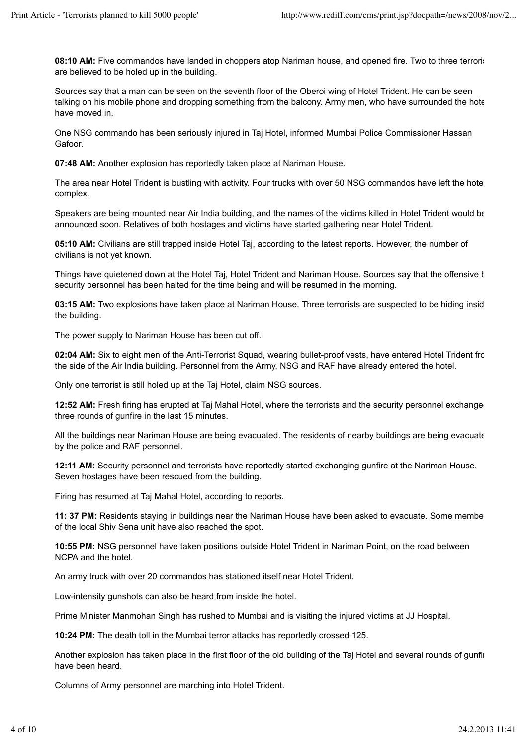**08:10 AM:** Five commandos have landed in choppers atop Nariman house, and opened fire. Two to three terroristy are believed to be holed up in the building.

Sources say that a man can be seen on the seventh floor of the Oberoi wing of Hotel Trident. He can be seen talking on his mobile phone and dropping something from the balcony. Army men, who have surrounded the hotel have moved in.

One NSG commando has been seriously injured in Taj Hotel, informed Mumbai Police Commissioner Hassan Gafoor.

**07:48 AM:** Another explosion has reportedly taken place at Nariman House.

The area near Hotel Trident is bustling with activity. Four trucks with over 50 NSG commandos have left the hotel complex.

Speakers are being mounted near Air India building, and the names of the victims killed in Hotel Trident would be announced soon. Relatives of both hostages and victims have started gathering near Hotel Trident.

**05:10 AM:** Civilians are still trapped inside Hotel Taj, according to the latest reports. However, the number of civilians is not yet known.

Things have quietened down at the Hotel Taj, Hotel Trident and Nariman House. Sources say that the offensive t security personnel has been halted for the time being and will be resumed in the morning.

**03:15 AM:** Two explosions have taken place at Nariman House. Three terrorists are suspected to be hiding insid the building.

The power supply to Nariman House has been cut off.

**02:04 AM:** Six to eight men of the Anti-Terrorist Squad, wearing bullet-proof vests, have entered Hotel Trident fro the side of the Air India building. Personnel from the Army, NSG and RAF have already entered the hotel.

Only one terrorist is still holed up at the Taj Hotel, claim NSG sources.

**12:52 AM:** Fresh firing has erupted at Taj Mahal Hotel, where the terrorists and the security personnel exchange three rounds of gunfire in the last 15 minutes.

All the buildings near Nariman House are being evacuated. The residents of nearby buildings are being evacuate by the police and RAF personnel.

**12:11 AM:** Security personnel and terrorists have reportedly started exchanging gunfire at the Nariman House. Seven hostages have been rescued from the building.

Firing has resumed at Taj Mahal Hotel, according to reports.

**11: 37 PM:** Residents staying in buildings near the Nariman House have been asked to evacuate. Some membe of the local Shiv Sena unit have also reached the spot.

**10:55 PM:** NSG personnel have taken positions outside Hotel Trident in Nariman Point, on the road between NCPA and the hotel.

An army truck with over 20 commandos has stationed itself near Hotel Trident.

Low-intensity gunshots can also be heard from inside the hotel.

Prime Minister Manmohan Singh has rushed to Mumbai and is visiting the injured victims at JJ Hospital.

**10:24 PM:** The death toll in the Mumbai terror attacks has reportedly crossed 125.

Another explosion has taken place in the first floor of the old building of the Taj Hotel and several rounds of gunfir have been heard.

Columns of Army personnel are marching into Hotel Trident.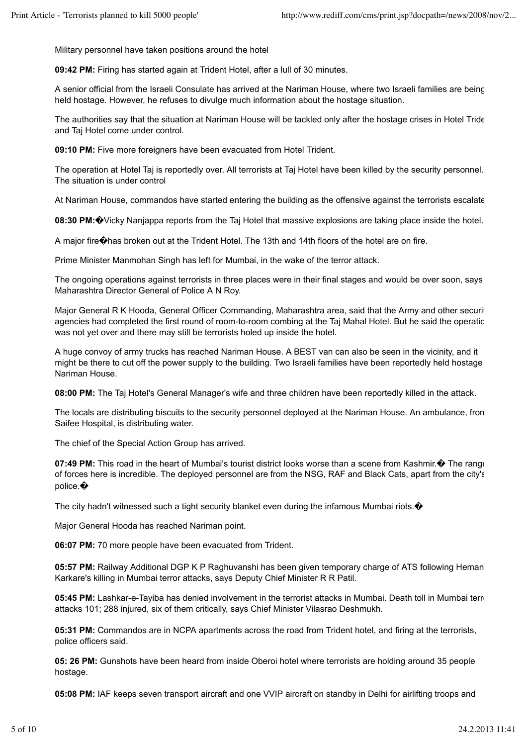Military personnel have taken positions around the hotel

**09:42 PM:** Firing has started again at Trident Hotel, after a lull of 30 minutes.

A senior official from the Israeli Consulate has arrived at the Nariman House, where two Israeli families are being held hostage. However, he refuses to divulge much information about the hostage situation.

The authorities say that the situation at Nariman House will be tackled only after the hostage crises in Hotel Tride and Taj Hotel come under control.

**09:10 PM:** Five more foreigners have been evacuated from Hotel Trident.

The operation at Hotel Taj is reportedly over. All terrorists at Taj Hotel have been killed by the security personnel. The situation is under control

At Nariman House, commandos have started entering the building as the offensive against the terrorists escalate

**08:30 PM:**�Vicky Nanjappa reports from the Taj Hotel that massive explosions are taking place inside the hotel.

A major fire�has broken out at the Trident Hotel. The 13th and 14th floors of the hotel are on fire.

Prime Minister Manmohan Singh has left for Mumbai, in the wake of the terror attack.

The ongoing operations against terrorists in three places were in their final stages and would be over soon, says Maharashtra Director General of Police A N Roy.

Major General R K Hooda, General Officer Commanding, Maharashtra area, said that the Army and other securit agencies had completed the first round of room-to-room combing at the Taj Mahal Hotel. But he said the operatio was not yet over and there may still be terrorists holed up inside the hotel.

A huge convoy of army trucks has reached Nariman House. A BEST van can also be seen in the vicinity, and it might be there to cut off the power supply to the building. Two Israeli families have been reportedly held hostage Nariman House.

**08:00 PM:** The Taj Hotel's General Manager's wife and three children have been reportedly killed in the attack.

The locals are distributing biscuits to the security personnel deployed at the Nariman House. An ambulance, from Saifee Hospital, is distributing water.

The chief of the Special Action Group has arrived.

**07:49 PM:** This road in the heart of Mumbai's tourist district looks worse than a scene from Kashmir. $\hat{\mathbf{\Phi}}$  The range of forces here is incredible. The deployed personnel are from the NSG, RAF and Black Cats, apart from the city's police.�

The city hadn't witnessed such a tight security blanket even during the infamous Mumbai riots. $\bullet$ 

Major General Hooda has reached Nariman point.

**06:07 PM:** 70 more people have been evacuated from Trident.

**05:57 PM:** Railway Additional DGP K P Raghuvanshi has been given temporary charge of ATS following Heman Karkare's killing in Mumbai terror attacks, says Deputy Chief Minister R R Patil.

05:45 PM: Lashkar-e-Tayiba has denied involvement in the terrorist attacks in Mumbai. Death toll in Mumbai terro attacks 101; 288 injured, six of them critically, says Chief Minister Vilasrao Deshmukh.

**05:31 PM:** Commandos are in NCPA apartments across the road from Trident hotel, and firing at the terrorists, police officers said.

**05: 26 PM:** Gunshots have been heard from inside Oberoi hotel where terrorists are holding around 35 people hostage.

**05:08 PM:** IAF keeps seven transport aircraft and one VVIP aircraft on standby in Delhi for airlifting troops and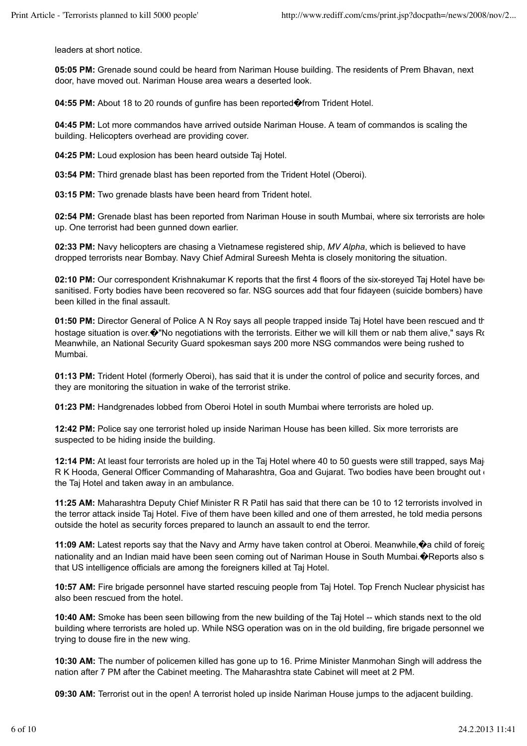leaders at short notice.

**05:05 PM:** Grenade sound could be heard from Nariman House building. The residents of Prem Bhavan, next door, have moved out. Nariman House area wears a deserted look.

**04:55 PM:** About 18 to 20 rounds of gunfire has been reported�from Trident Hotel.

**04:45 PM:** Lot more commandos have arrived outside Nariman House. A team of commandos is scaling the building. Helicopters overhead are providing cover.

**04:25 PM:** Loud explosion has been heard outside Taj Hotel.

**03:54 PM:** Third grenade blast has been reported from the Trident Hotel (Oberoi).

**03:15 PM:** Two grenade blasts have been heard from Trident hotel.

02:54 PM: Grenade blast has been reported from Nariman House in south Mumbai, where six terrorists are hole up. One terrorist had been gunned down earlier.

**02:33 PM:** Navy helicopters are chasing a Vietnamese registered ship, *MV Alpha*, which is believed to have dropped terrorists near Bombay. Navy Chief Admiral Sureesh Mehta is closely monitoring the situation.

02:10 PM: Our correspondent Krishnakumar K reports that the first 4 floors of the six-storeyed Taj Hotel have bee sanitised. Forty bodies have been recovered so far. NSG sources add that four fidayeen (suicide bombers) have been killed in the final assault.

**01:50 PM:** Director General of Police A N Roy says all people trapped inside Taj Hotel have been rescued and the hostage situation is over. $\hat{\mathbf{\Theta}}$ "No negotiations with the terrorists. Either we will kill them or nab them alive," says Ro Meanwhile, an National Security Guard spokesman says 200 more NSG commandos were being rushed to Mumbai.

**01:13 PM:** Trident Hotel (formerly Oberoi), has said that it is under the control of police and security forces, and they are monitoring the situation in wake of the terrorist strike.

**01:23 PM:** Handgrenades lobbed from Oberoi Hotel in south Mumbai where terrorists are holed up.

**12:42 PM:** Police say one terrorist holed up inside Nariman House has been killed. Six more terrorists are suspected to be hiding inside the building.

**12:14 PM:** At least four terrorists are holed up in the Taj Hotel where 40 to 50 quests were still trapped, says Major R K Hooda, General Officer Commanding of Maharashtra, Goa and Gujarat. Two bodies have been brought out of the Taj Hotel and taken away in an ambulance.

**11:25 AM:** Maharashtra Deputy Chief Minister R R Patil has said that there can be 10 to 12 terrorists involved in the terror attack inside Taj Hotel. Five of them have been killed and one of them arrested, he told media persons outside the hotel as security forces prepared to launch an assault to end the terror.

11:09 AM: Latest reports say that the Navy and Army have taken control at Oberoi. Meanwhile,  $\circ$  a child of foreig nationality and an Indian maid have been seen coming out of Nariman House in South Mumbai. OReports also s that US intelligence officials are among the foreigners killed at Taj Hotel.

**10:57 AM:** Fire brigade personnel have started rescuing people from Taj Hotel. Top French Nuclear physicist has also been rescued from the hotel.

**10:40 AM:** Smoke has been seen billowing from the new building of the Taj Hotel -- which stands next to the old building where terrorists are holed up. While NSG operation was on in the old building, fire brigade personnel were trying to douse fire in the new wing.

**10:30 AM:** The number of policemen killed has gone up to 16. Prime Minister Manmohan Singh will address the nation after 7 PM after the Cabinet meeting. The Maharashtra state Cabinet will meet at 2 PM.

**09:30 AM:** Terrorist out in the open! A terrorist holed up inside Nariman House jumps to the adjacent building.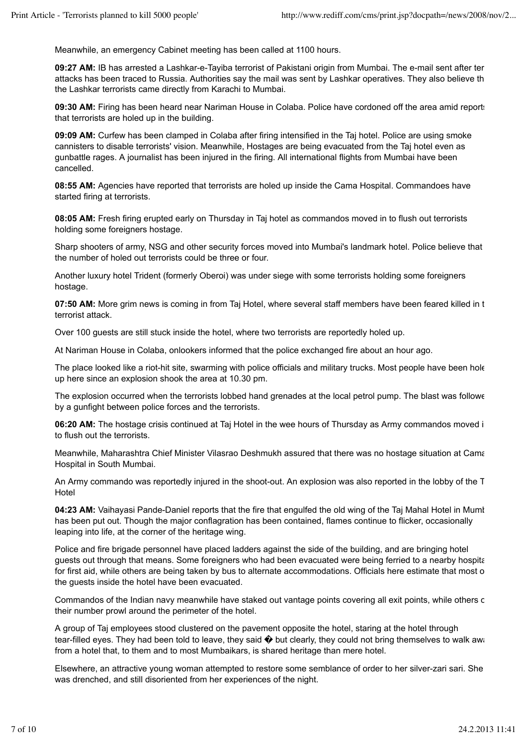Meanwhile, an emergency Cabinet meeting has been called at 1100 hours.

**09:27 AM: IB has arrested a Lashkar-e-Taviba terrorist of Pakistani origin from Mumbai. The e-mail sent after ter** attacks has been traced to Russia. Authorities say the mail was sent by Lashkar operatives. They also believe th the Lashkar terrorists came directly from Karachi to Mumbai.

**09:30 AM:** Firing has been heard near Nariman House in Colaba. Police have cordoned off the area amid reports that terrorists are holed up in the building.

**09:09 AM:** Curfew has been clamped in Colaba after firing intensified in the Taj hotel. Police are using smoke cannisters to disable terrorists' vision. Meanwhile, Hostages are being evacuated from the Taj hotel even as gunbattle rages. A journalist has been injured in the firing. All international flights from Mumbai have been cancelled.

**08:55 AM:** Agencies have reported that terrorists are holed up inside the Cama Hospital. Commandoes have started firing at terrorists.

**08:05 AM:** Fresh firing erupted early on Thursday in Taj hotel as commandos moved in to flush out terrorists holding some foreigners hostage.

Sharp shooters of army, NSG and other security forces moved into Mumbai's landmark hotel. Police believe that the number of holed out terrorists could be three or four.

Another luxury hotel Trident (formerly Oberoi) was under siege with some terrorists holding some foreigners hostage.

**07:50 AM:** More grim news is coming in from Taj Hotel, where several staff members have been feared killed in t terrorist attack.

Over 100 guests are still stuck inside the hotel, where two terrorists are reportedly holed up.

At Nariman House in Colaba, onlookers informed that the police exchanged fire about an hour ago.

The place looked like a riot-hit site, swarming with police officials and military trucks. Most people have been hole up here since an explosion shook the area at 10.30 pm.

The explosion occurred when the terrorists lobbed hand grenades at the local petrol pump. The blast was followe by a gunfight between police forces and the terrorists.

**06:20 AM:** The hostage crisis continued at Taj Hotel in the wee hours of Thursday as Army commandos moved in to flush out the terrorists.

Meanwhile, Maharashtra Chief Minister Vilasrao Deshmukh assured that there was no hostage situation at Cama Hospital in South Mumbai.

An Army commando was reportedly injured in the shoot-out. An explosion was also reported in the lobby of the T **Hotel** 

04:23 AM: Vaihayasi Pande-Daniel reports that the fire that engulfed the old wing of the Tai Mahal Hotel in Mumt has been put out. Though the major conflagration has been contained, flames continue to flicker, occasionally leaping into life, at the corner of the heritage wing.

Police and fire brigade personnel have placed ladders against the side of the building, and are bringing hotel guests out through that means. Some foreigners who had been evacuated were being ferried to a nearby hospital for first aid, while others are being taken by bus to alternate accommodations. Officials here estimate that most o the guests inside the hotel have been evacuated.

Commandos of the Indian navy meanwhile have staked out vantage points covering all exit points, while others c their number prowl around the perimeter of the hotel.

A group of Taj employees stood clustered on the pavement opposite the hotel, staring at the hotel through tear-filled eyes. They had been told to leave, they said  $\bullet$  but clearly, they could not bring themselves to walk away from a hotel that, to them and to most Mumbaikars, is shared heritage than mere hotel.

Elsewhere, an attractive young woman attempted to restore some semblance of order to her silver-zari sari. She was drenched, and still disoriented from her experiences of the night.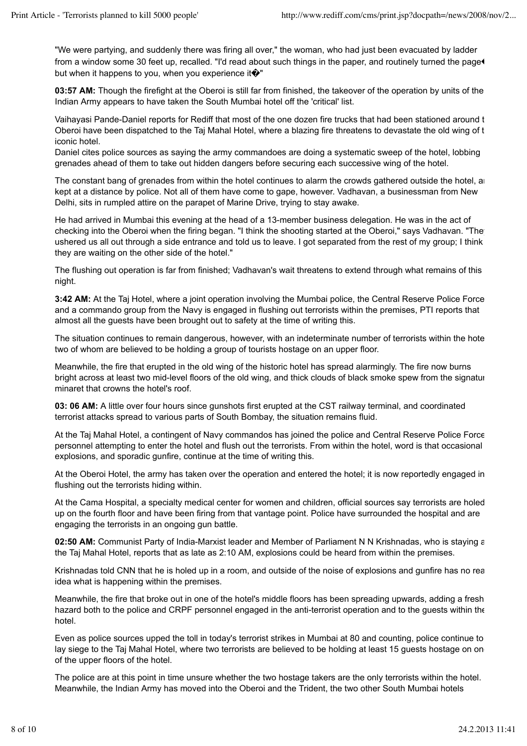"We were partying, and suddenly there was firing all over," the woman, who had just been evacuated by ladder from a window some 30 feet up, recalled. "I'd read about such things in the paper, and routinely turned the page but when it happens to you, when you experience it  $\hat{\mathbf{\Theta}}$ "

**03:57 AM:** Though the firefight at the Oberoi is still far from finished, the takeover of the operation by units of the Indian Army appears to have taken the South Mumbai hotel off the 'critical' list.

Vaihayasi Pande-Daniel reports for Rediff that most of the one dozen fire trucks that had been stationed around the Oberoi have been dispatched to the Taj Mahal Hotel, where a blazing fire threatens to devastate the old wing of the iconic hotel.

Daniel cites police sources as saying the army commandoes are doing a systematic sweep of the hotel, lobbing grenades ahead of them to take out hidden dangers before securing each successive wing of the hotel.

The constant bang of grenades from within the hotel continues to alarm the crowds gathered outside the hotel, and kept at a distance by police. Not all of them have come to gape, however. Vadhavan, a businessman from New Delhi, sits in rumpled attire on the parapet of Marine Drive, trying to stay awake.

He had arrived in Mumbai this evening at the head of a 13-member business delegation. He was in the act of checking into the Oberoi when the firing began. "I think the shooting started at the Oberoi," says Vadhavan. "The ushered us all out through a side entrance and told us to leave. I got separated from the rest of my group; I think they are waiting on the other side of the hotel."

The flushing out operation is far from finished; Vadhavan's wait threatens to extend through what remains of this night.

**3:42 AM:** At the Taj Hotel, where a joint operation involving the Mumbai police, the Central Reserve Police Force and a commando group from the Navy is engaged in flushing out terrorists within the premises, PTI reports that almost all the guests have been brought out to safety at the time of writing this.

The situation continues to remain dangerous, however, with an indeterminate number of terrorists within the hote two of whom are believed to be holding a group of tourists hostage on an upper floor.

Meanwhile, the fire that erupted in the old wing of the historic hotel has spread alarmingly. The fire now burns bright across at least two mid-level floors of the old wing, and thick clouds of black smoke spew from the signature minaret that crowns the hotel's roof.

**03: 06 AM:** A little over four hours since gunshots first erupted at the CST railway terminal, and coordinated terrorist attacks spread to various parts of South Bombay, the situation remains fluid.

At the Taj Mahal Hotel, a contingent of Navy commandos has joined the police and Central Reserve Police Force personnel attempting to enter the hotel and flush out the terrorists. From within the hotel, word is that occasional explosions, and sporadic gunfire, continue at the time of writing this.

At the Oberoi Hotel, the army has taken over the operation and entered the hotel; it is now reportedly engaged in flushing out the terrorists hiding within.

At the Cama Hospital, a specialty medical center for women and children, official sources say terrorists are holed up on the fourth floor and have been firing from that vantage point. Police have surrounded the hospital and are engaging the terrorists in an ongoing gun battle.

**02:50 AM:** Communist Party of India-Marxist leader and Member of Parliament N N Krishnadas, who is staving a the Taj Mahal Hotel, reports that as late as 2:10 AM, explosions could be heard from within the premises.

Krishnadas told CNN that he is holed up in a room, and outside of the noise of explosions and gunfire has no rea idea what is happening within the premises.

Meanwhile, the fire that broke out in one of the hotel's middle floors has been spreading upwards, adding a fresh hazard both to the police and CRPF personnel engaged in the anti-terrorist operation and to the guests within the hotel.

Even as police sources upped the toll in today's terrorist strikes in Mumbai at 80 and counting, police continue to lay siege to the Taj Mahal Hotel, where two terrorists are believed to be holding at least 15 guests hostage on on of the upper floors of the hotel.

The police are at this point in time unsure whether the two hostage takers are the only terrorists within the hotel. Meanwhile, the Indian Army has moved into the Oberoi and the Trident, the two other South Mumbai hotels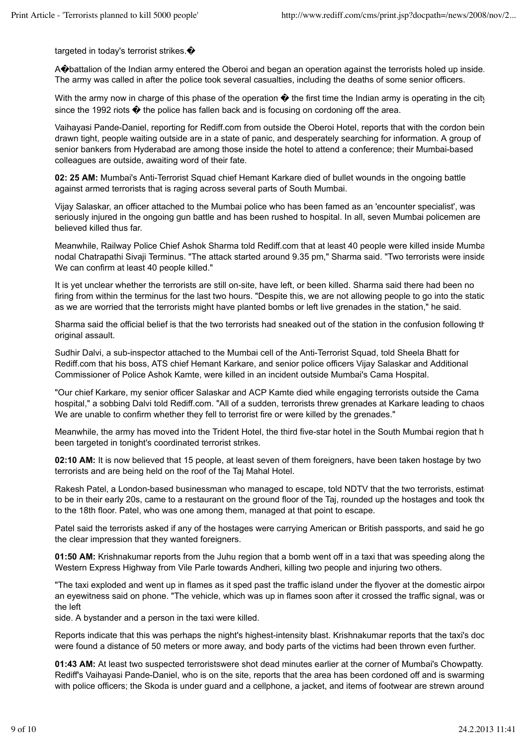targeted in today's terrorist strikes. $\bullet$ 

A�battalion of the Indian army entered the Oberoi and began an operation against the terrorists holed up inside. The army was called in after the police took several casualties, including the deaths of some senior officers.

With the army now in charge of this phase of the operation  $\bullet$  the first time the Indian army is operating in the city since the 1992 riots  $\bullet$  the police has fallen back and is focusing on cordoning off the area.

Vaihayasi Pande-Daniel, reporting for Rediff.com from outside the Oberoi Hotel, reports that with the cordon being drawn tight, people waiting outside are in a state of panic, and desperately searching for information. A group of senior bankers from Hyderabad are among those inside the hotel to attend a conference; their Mumbai-based colleagues are outside, awaiting word of their fate.

**02: 25 AM:** Mumbai's Anti-Terrorist Squad chief Hemant Karkare died of bullet wounds in the ongoing battle against armed terrorists that is raging across several parts of South Mumbai.

Vijay Salaskar, an officer attached to the Mumbai police who has been famed as an 'encounter specialist', was seriously injured in the ongoing gun battle and has been rushed to hospital. In all, seven Mumbai policemen are believed killed thus far.

Meanwhile, Railway Police Chief Ashok Sharma told Rediff.com that at least 40 people were killed inside Mumba nodal Chatrapathi Sivaji Terminus. "The attack started around 9.35 pm," Sharma said. "Two terrorists were inside. We can confirm at least 40 people killed."

It is yet unclear whether the terrorists are still on-site, have left, or been killed. Sharma said there had been no firing from within the terminus for the last two hours. "Despite this, we are not allowing people to go into the static as we are worried that the terrorists might have planted bombs or left live grenades in the station," he said.

Sharma said the official belief is that the two terrorists had sneaked out of the station in the confusion following the original assault.

Sudhir Dalvi, a sub-inspector attached to the Mumbai cell of the Anti-Terrorist Squad, told Sheela Bhatt for Rediff.com that his boss, ATS chief Hemant Karkare, and senior police officers Vijay Salaskar and Additional Commissioner of Police Ashok Kamte, were killed in an incident outside Mumbai's Cama Hospital.

"Our chief Karkare, my senior officer Salaskar and ACP Kamte died while engaging terrorists outside the Cama hospital," a sobbing Dalvi told Rediff.com. "All of a sudden, terrorists threw grenades at Karkare leading to chaos. We are unable to confirm whether they fell to terrorist fire or were killed by the grenades."

Meanwhile, the army has moved into the Trident Hotel, the third five-star hotel in the South Mumbai region that h been targeted in tonight's coordinated terrorist strikes.

**02:10 AM:** It is now believed that 15 people, at least seven of them foreigners, have been taken hostage by two terrorists and are being held on the roof of the Taj Mahal Hotel.

Rakesh Patel, a London-based businessman who managed to escape, told NDTV that the two terrorists, estimat to be in their early 20s, came to a restaurant on the ground floor of the Taj, rounded up the hostages and took the to the 18th floor. Patel, who was one among them, managed at that point to escape.

Patel said the terrorists asked if any of the hostages were carrying American or British passports, and said he go the clear impression that they wanted foreigners.

**01:50 AM:** Krishnakumar reports from the Juhu region that a bomb went off in a taxi that was speeding along the Western Express Highway from Vile Parle towards Andheri, killing two people and injuring two others.

"The taxi exploded and went up in flames as it sped past the traffic island under the flyover at the domestic airpor an eyewitness said on phone. "The vehicle, which was up in flames soon after it crossed the traffic signal, was on the left

side. A bystander and a person in the taxi were killed.

Reports indicate that this was perhaps the night's highest-intensity blast. Krishnakumar reports that the taxi's doc were found a distance of 50 meters or more away, and body parts of the victims had been thrown even further.

**01:43 AM:** At least two suspected terroristswere shot dead minutes earlier at the corner of Mumbai's Chowpatty. Rediff's Vaihayasi Pande-Daniel, who is on the site, reports that the area has been cordoned off and is swarming with police officers; the Skoda is under guard and a cellphone, a jacket, and items of footwear are strewn around